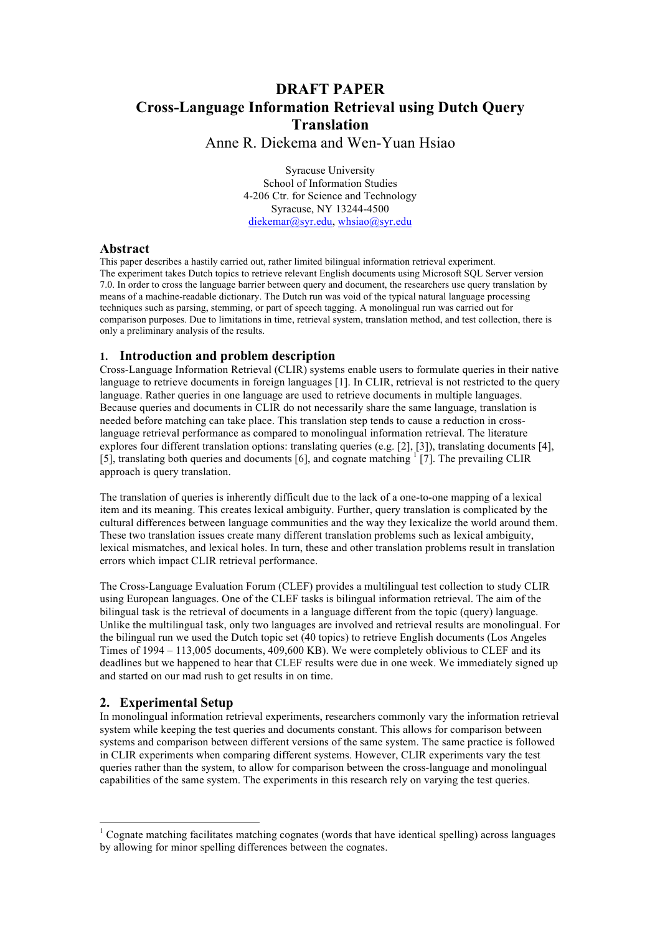# **DRAFT PAPER Cross-Language Information Retrieval using Dutch Query Translation**

Anne R. Diekema and Wen-Yuan Hsiao

Syracuse University School of Information Studies 4-206 Ctr. for Science and Technology Syracuse, NY 13244-4500 diekemar@syr.edu, whsiao@syr.edu

#### **Abstract**

This paper describes a hastily carried out, rather limited bilingual information retrieval experiment. The experiment takes Dutch topics to retrieve relevant English documents using Microsoft SQL Server version 7.0. In order to cross the language barrier between query and document, the researchers use query translation by means of a machine-readable dictionary. The Dutch run was void of the typical natural language processing techniques such as parsing, stemming, or part of speech tagging. A monolingual run was carried out for comparison purposes. Due to limitations in time, retrieval system, translation method, and test collection, there is only a preliminary analysis of the results.

#### **1. Introduction and problem description**

Cross-Language Information Retrieval (CLIR) systems enable users to formulate queries in their native language to retrieve documents in foreign languages [1]. In CLIR, retrieval is not restricted to the query language. Rather queries in one language are used to retrieve documents in multiple languages. Because queries and documents in CLIR do not necessarily share the same language, translation is needed before matching can take place. This translation step tends to cause a reduction in crosslanguage retrieval performance as compared to monolingual information retrieval. The literature explores four different translation options: translating queries (e.g. [2], [3]), translating documents [4], [5], translating both queries and documents [6], and cognate matching  $\frac{1}{7}$ ]. The prevailing CLIR approach is query translation.

The translation of queries is inherently difficult due to the lack of a one-to-one mapping of a lexical item and its meaning. This creates lexical ambiguity. Further, query translation is complicated by the cultural differences between language communities and the way they lexicalize the world around them. These two translation issues create many different translation problems such as lexical ambiguity, lexical mismatches, and lexical holes. In turn, these and other translation problems result in translation errors which impact CLIR retrieval performance.

The Cross-Language Evaluation Forum (CLEF) provides a multilingual test collection to study CLIR using European languages. One of the CLEF tasks is bilingual information retrieval. The aim of the bilingual task is the retrieval of documents in a language different from the topic (query) language. Unlike the multilingual task, only two languages are involved and retrieval results are monolingual. For the bilingual run we used the Dutch topic set (40 topics) to retrieve English documents (Los Angeles Times of 1994 – 113,005 documents, 409,600 KB). We were completely oblivious to CLEF and its deadlines but we happened to hear that CLEF results were due in one week. We immediately signed up and started on our mad rush to get results in on time.

# **2. Experimental Setup**

In monolingual information retrieval experiments, researchers commonly vary the information retrieval system while keeping the test queries and documents constant. This allows for comparison between systems and comparison between different versions of the same system. The same practice is followed in CLIR experiments when comparing different systems. However, CLIR experiments vary the test queries rather than the system, to allow for comparison between the cross-language and monolingual capabilities of the same system. The experiments in this research rely on varying the test queries.

<sup>&</sup>lt;sup>1</sup> Cognate matching facilitates matching cognates (words that have identical spelling) across languages by allowing for minor spelling differences between the cognates.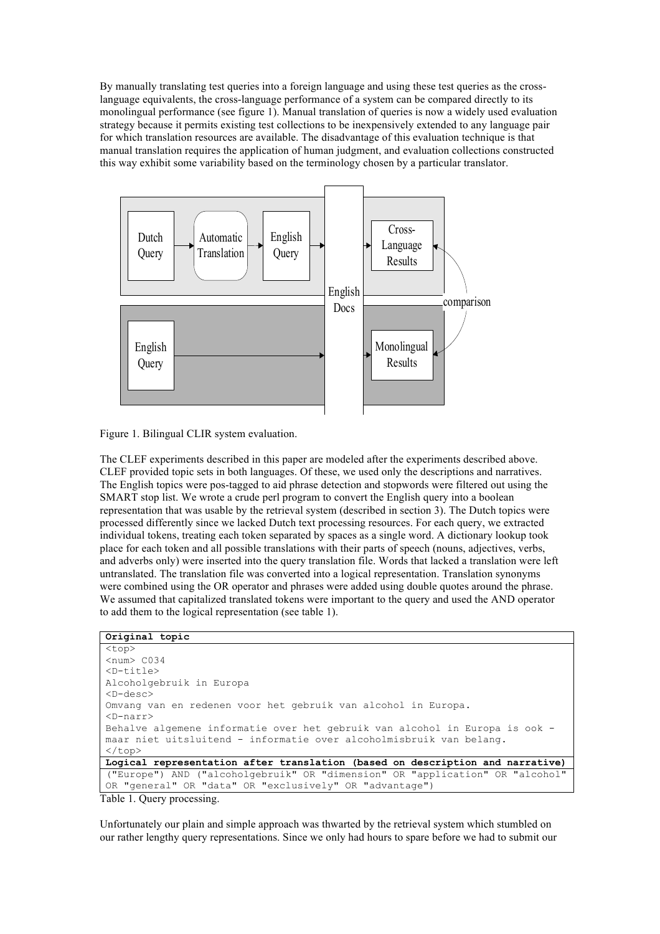By manually translating test queries into a foreign language and using these test queries as the crosslanguage equivalents, the cross-language performance of a system can be compared directly to its monolingual performance (see figure 1). Manual translation of queries is now a widely used evaluation strategy because it permits existing test collections to be inexpensively extended to any language pair for which translation resources are available. The disadvantage of this evaluation technique is that manual translation requires the application of human judgment, and evaluation collections constructed this way exhibit some variability based on the terminology chosen by a particular translator.



Figure 1. Bilingual CLIR system evaluation.

The CLEF experiments described in this paper are modeled after the experiments described above. CLEF provided topic sets in both languages. Of these, we used only the descriptions and narratives. The English topics were pos-tagged to aid phrase detection and stopwords were filtered out using the SMART stop list. We wrote a crude perl program to convert the English query into a boolean representation that was usable by the retrieval system (described in section 3). The Dutch topics were processed differently since we lacked Dutch text processing resources. For each query, we extracted individual tokens, treating each token separated by spaces as a single word. A dictionary lookup took place for each token and all possible translations with their parts of speech (nouns, adjectives, verbs, and adverbs only) were inserted into the query translation file. Words that lacked a translation were left untranslated. The translation file was converted into a logical representation. Translation synonyms were combined using the OR operator and phrases were added using double quotes around the phrase. We assumed that capitalized translated tokens were important to the query and used the AND operator to add them to the logical representation (see table 1).

#### **Original topic**

```
<top>
<sub>num</sub> > c034</sub>
<D-title>
Alcoholgebruik in Europa
<D-desc>
Omvang van en redenen voor het gebruik van alcohol in Europa.
<D-narr>
Behalve algemene informatie over het gebruik van alcohol in Europa is ook -
maar niet uitsluitend - informatie over alcoholmisbruik van belang.
</top>
Logical representation after translation (based on description and narrative)
("Europe") AND ("alcoholgebruik" OR "dimension" OR "application" OR "alcohol" 
OR "general" OR "data" OR "exclusively" OR "advantage")
```
Table 1. Query processing.

Unfortunately our plain and simple approach was thwarted by the retrieval system which stumbled on our rather lengthy query representations. Since we only had hours to spare before we had to submit our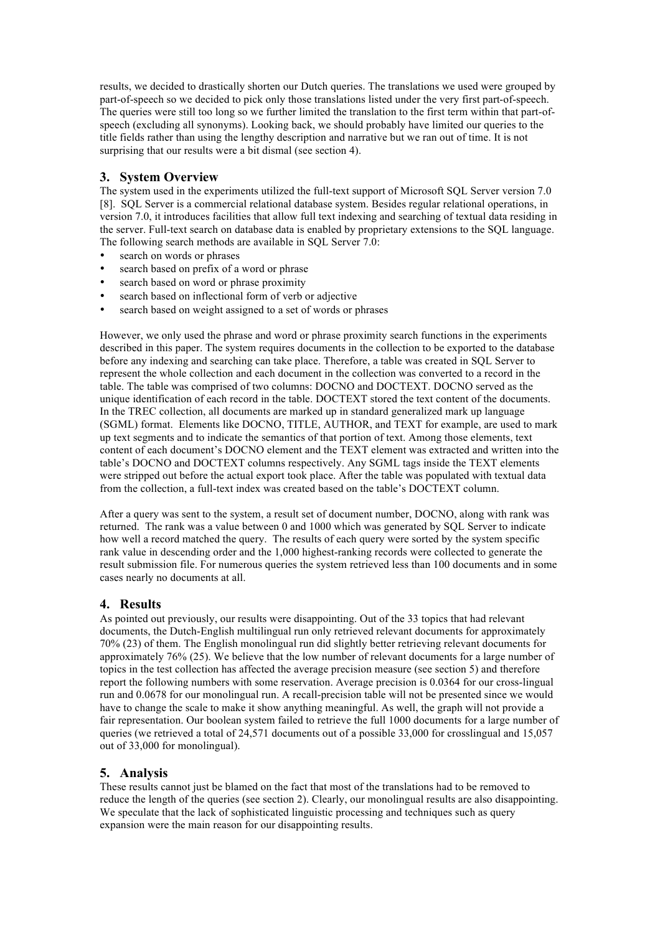results, we decided to drastically shorten our Dutch queries. The translations we used were grouped by part-of-speech so we decided to pick only those translations listed under the very first part-of-speech. The queries were still too long so we further limited the translation to the first term within that part-ofspeech (excluding all synonyms). Looking back, we should probably have limited our queries to the title fields rather than using the lengthy description and narrative but we ran out of time. It is not surprising that our results were a bit dismal (see section 4).

### **3. System Overview**

The system used in the experiments utilized the full-text support of Microsoft SQL Server version 7.0 [8]. SQL Server is a commercial relational database system. Besides regular relational operations, in version 7.0, it introduces facilities that allow full text indexing and searching of textual data residing in the server. Full-text search on database data is enabled by proprietary extensions to the SQL language. The following search methods are available in SQL Server 7.0:

- search on words or phrases
- search based on prefix of a word or phrase
- search based on word or phrase proximity
- search based on inflectional form of verb or adjective
- search based on weight assigned to a set of words or phrases

However, we only used the phrase and word or phrase proximity search functions in the experiments described in this paper. The system requires documents in the collection to be exported to the database before any indexing and searching can take place. Therefore, a table was created in SQL Server to represent the whole collection and each document in the collection was converted to a record in the table. The table was comprised of two columns: DOCNO and DOCTEXT. DOCNO served as the unique identification of each record in the table. DOCTEXT stored the text content of the documents. In the TREC collection, all documents are marked up in standard generalized mark up language (SGML) format. Elements like DOCNO, TITLE, AUTHOR, and TEXT for example, are used to mark up text segments and to indicate the semantics of that portion of text. Among those elements, text content of each document's DOCNO element and the TEXT element was extracted and written into the table's DOCNO and DOCTEXT columns respectively. Any SGML tags inside the TEXT elements were stripped out before the actual export took place. After the table was populated with textual data from the collection, a full-text index was created based on the table's DOCTEXT column.

After a query was sent to the system, a result set of document number, DOCNO, along with rank was returned. The rank was a value between 0 and 1000 which was generated by SQL Server to indicate how well a record matched the query. The results of each query were sorted by the system specific rank value in descending order and the 1,000 highest-ranking records were collected to generate the result submission file. For numerous queries the system retrieved less than 100 documents and in some cases nearly no documents at all.

# **4. Results**

As pointed out previously, our results were disappointing. Out of the 33 topics that had relevant documents, the Dutch-English multilingual run only retrieved relevant documents for approximately 70% (23) of them. The English monolingual run did slightly better retrieving relevant documents for approximately 76% (25). We believe that the low number of relevant documents for a large number of topics in the test collection has affected the average precision measure (see section 5) and therefore report the following numbers with some reservation. Average precision is 0.0364 for our cross-lingual run and 0.0678 for our monolingual run. A recall-precision table will not be presented since we would have to change the scale to make it show anything meaningful. As well, the graph will not provide a fair representation. Our boolean system failed to retrieve the full 1000 documents for a large number of queries (we retrieved a total of 24,571 documents out of a possible 33,000 for crosslingual and 15,057 out of 33,000 for monolingual).

# **5. Analysis**

These results cannot just be blamed on the fact that most of the translations had to be removed to reduce the length of the queries (see section 2). Clearly, our monolingual results are also disappointing. We speculate that the lack of sophisticated linguistic processing and techniques such as query expansion were the main reason for our disappointing results.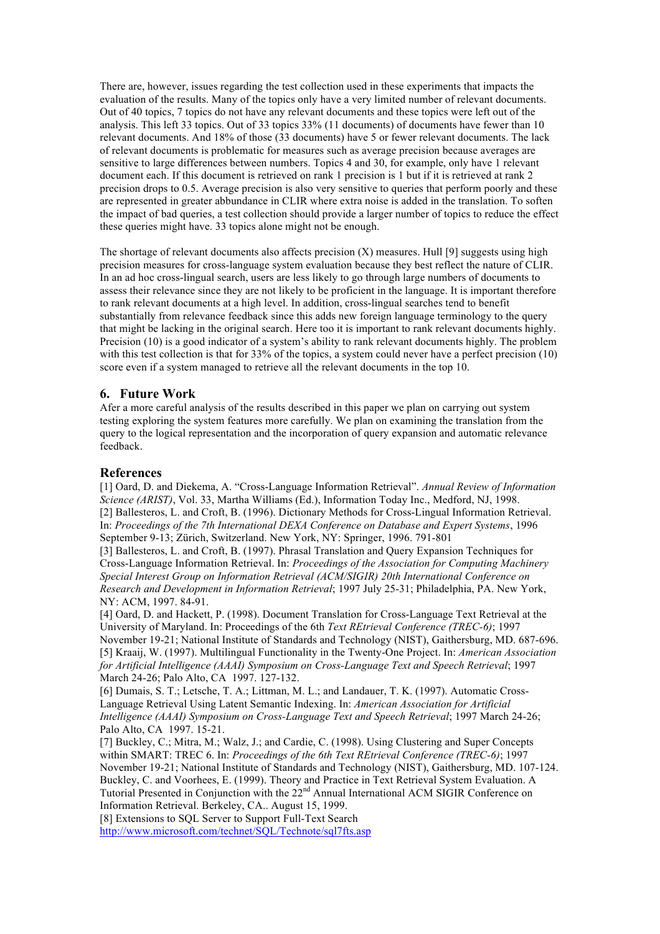There are, however, issues regarding the test collection used in these experiments that impacts the evaluation of the results. Many of the topics only have a very limited number of relevant documents. Out of 40 topics, 7 topics do not have any relevant documents and these topics were left out of the analysis. This left 33 topics. Out of 33 topics 33% (11 documents) of documents have fewer than 10 relevant documents. And 18% of those (33 documents) have 5 or fewer relevant documents. The lack of relevant documents is problematic for measures such as average precision because averages are sensitive to large differences between numbers. Topics 4 and 30, for example, only have 1 relevant document each. If this document is retrieved on rank 1 precision is 1 but if it is retrieved at rank 2 precision drops to 0.5. Average precision is also very sensitive to queries that perform poorly and these are represented in greater abbundance in CLIR where extra noise is added in the translation. To soften the impact of bad queries, a test collection should provide a larger number of topics to reduce the effect these queries might have. 33 topics alone might not be enough.

The shortage of relevant documents also affects precision  $(X)$  measures. Hull [9] suggests using high precision measures for cross-language system evaluation because they best reflect the nature of CLIR. In an ad hoc cross-lingual search, users are less likely to go through large numbers of documents to assess their relevance since they are not likely to be proficient in the language. It is important therefore to rank relevant documents at a high level. In addition, cross-lingual searches tend to benefit substantially from relevance feedback since this adds new foreign language terminology to the query that might be lacking in the original search. Here too it is important to rank relevant documents highly. Precision (10) is a good indicator of a system's ability to rank relevant documents highly. The problem with this test collection is that for 33% of the topics, a system could never have a perfect precision (10) score even if a system managed to retrieve all the relevant documents in the top 10.

#### **6. Future Work**

Afer a more careful analysis of the results described in this paper we plan on carrying out system testing exploring the system features more carefully. We plan on examining the translation from the query to the logical representation and the incorporation of query expansion and automatic relevance feedback.

#### **References**

[1] Oard, D. and Diekema, A. "Cross-Language Information Retrieval". *Annual Review of Information Science (ARIST)*, Vol. 33, Martha Williams (Ed.), Information Today Inc., Medford, NJ, 1998. [2] Ballesteros, L. and Croft, B. (1996). Dictionary Methods for Cross-Lingual Information Retrieval. In: *Proceedings of the 7th International DEXA Conference on Database and Expert Systems*, 1996 September 9-13; Zürich, Switzerland. New York, NY: Springer, 1996. 791-801

[3] Ballesteros, L. and Croft, B. (1997). Phrasal Translation and Query Expansion Techniques for Cross-Language Information Retrieval. In: *Proceedings of the Association for Computing Machinery Special Interest Group on Information Retrieval (ACM/SIGIR) 20th International Conference on Research and Development in Information Retrieval*; 1997 July 25-31; Philadelphia, PA. New York, NY: ACM, 1997. 84-91.

[4] Oard, D. and Hackett, P. (1998). Document Translation for Cross-Language Text Retrieval at the University of Maryland. In: Proceedings of the 6th *Text REtrieval Conference (TREC-6)*; 1997 November 19-21; National Institute of Standards and Technology (NIST), Gaithersburg, MD. 687-696. [5] Kraaij, W. (1997). Multilingual Functionality in the Twenty-One Project. In: *American Association for Artificial Intelligence (AAAI) Symposium on Cross-Language Text and Speech Retrieval*; 1997 March 24-26; Palo Alto, CA 1997. 127-132.

[6] Dumais, S. T.; Letsche, T. A.; Littman, M. L.; and Landauer, T. K. (1997). Automatic Cross-Language Retrieval Using Latent Semantic Indexing. In: *American Association for Artificial Intelligence (AAAI) Symposium on Cross-Language Text and Speech Retrieval*; 1997 March 24-26; Palo Alto, CA 1997. 15-21.

[7] Buckley, C.; Mitra, M.; Walz, J.; and Cardie, C. (1998). Using Clustering and Super Concepts within SMART: TREC 6. In: *Proceedings of the 6th Text REtrieval Conference (TREC-6)*; 1997 November 19-21; National Institute of Standards and Technology (NIST), Gaithersburg, MD. 107-124. Buckley, C. and Voorhees, E. (1999). Theory and Practice in Text Retrieval System Evaluation. A Tutorial Presented in Conjunction with the 22<sup>nd</sup> Annual International ACM SIGIR Conference on Information Retrieval. Berkeley, CA.. August 15, 1999.

[8] Extensions to SQL Server to Support Full-Text Search

http://www.microsoft.com/technet/SQL/Technote/sql7fts.asp